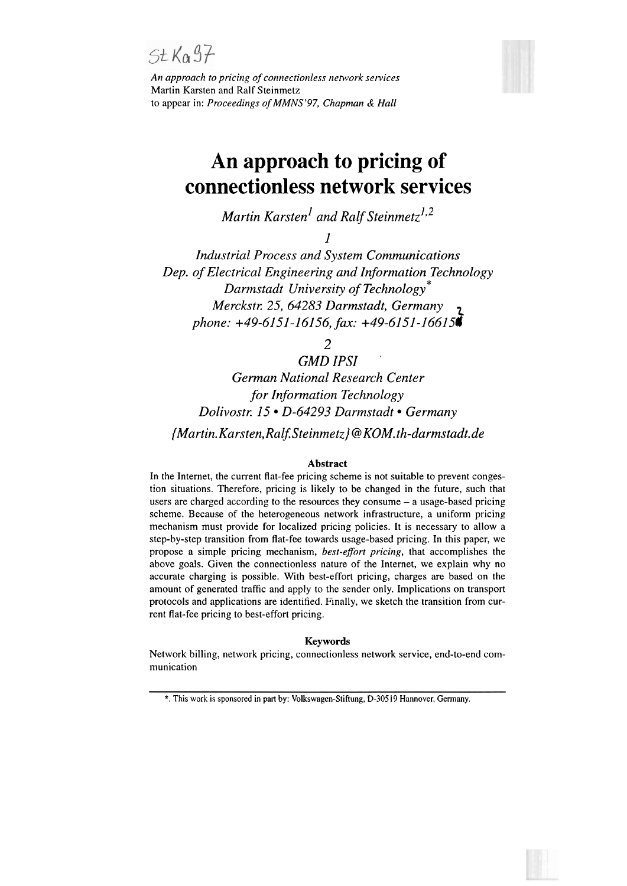$StKa97$ 



*Martin Karsten<sup>1</sup> and Ralf Steinmetz<sup>1,2</sup>* 

*1* 

*Industrial Process and System Communications Dep. of Electrical Engineering and Information Technology Darmstadt University of Technology*<sup>\*</sup> *Merckstr. 25, 64283 Darmstadt, Germany phone: +49-6151-16156, fax: +49-6151-166153* 

2

*GMD IPSI* ' *German National Research Center for Information Technology Dolivostr. 15 0-64293 Darmstadt Germany* 

*{Martin. Karsten, RaIJ:Steinmetz} @KOM. th-darmstadt.de* 

#### **Abstract**

In the Internet, the current flat-fee pricing scheme is not suitable to prevent congestion Situations. Therefore, pricing is likely to be changed in the future, such that Users are charged according to the resources they consume - a usage-based pricing scheme. Because of the heterogeneous network infrastructure, a uniform pricing mechanism must provide for localized pricing policies. It is necessary to allow a step-by-step transition from flat-fee towards usage-based pricing. In this paper, we propose a simple pricing mechanism, *best-effort pricing,* that accomplishes the above goals. Given the connectionless nature of the Internet, we explain why no accurate charging is possible. With best-effort pricing, charges are based on the amount of generated traffic and apply to the sender only. Implications on transport protocols and applications are identified. Finally, we sketch the transition from current flat-fee pricing to best-effort pricing.

#### **Keywords**

Network billing, network pricing, connectionless network sewice, end-to-end communication

<sup>\*.</sup> **This work is sponsored in pari by: Volkswagen-Stiftung, D-30519 Hannover, Germany.**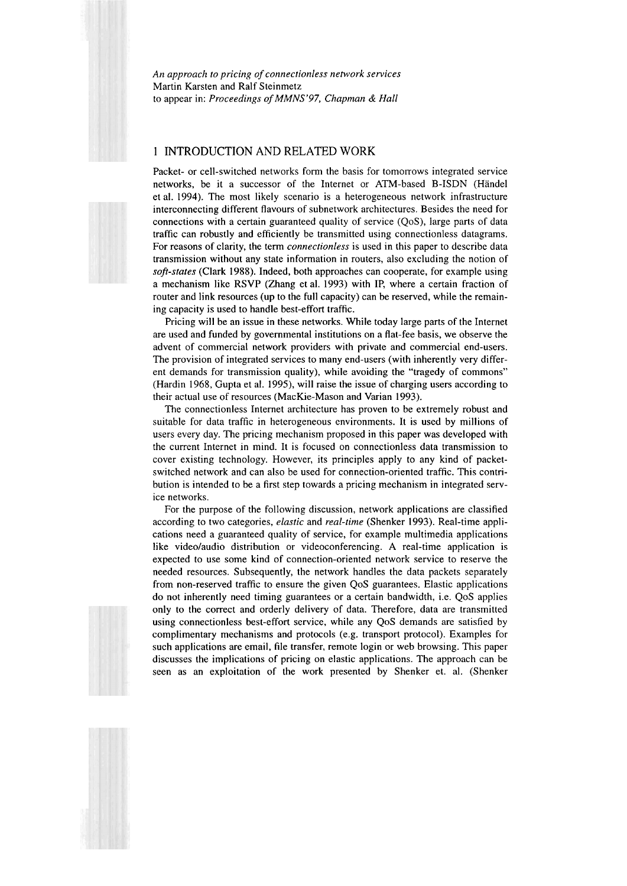## 1 INTRODUCTION AND RELATED WORK

Packet- or cell-switched networks form the basis for tomorrows integrated service networks, be it a successor of the Internet or ATM-based B-ISDN (Händel et al. 1994). The most likely scenario is a heterogeneous network infrastructure interconnecting different flavours of subnetwork architectures. Besides the need for connections with a certain guaranteed quality of service (QoS), large parts of data traffic can robustly and efficiently be transmitted using connectionless datagrams. For reasons of clarity, the term *connectionless* is used in this paper to describe data transmission without any state information in routers, also excluding the notion of *soft-states* (Clark 1988). Indeed, both approaches can cooperate, for example using a mechanism like RSVP (Zhang et al. 1993) with IP, where a certain fraction of router and link resources (up to the full capacity) can be reserved, while the remaining capacity is used to handle best-effort traffic.

Pricing will be an issue in these networks. While today large parts of the Internet are used and funded by governmental institutions on a flat-fee basis, we observe the advent of commercial network providers with private and commercial end-users. The provision of integrated services to many end-users (with inherently very different demands for transmission quality), while avoiding the "tragedy of commons" (Hardin 1968, Gupta et al. 1995), will raise the issue of charging users according to their actual use of resources (MacKie-Mason and Varian 1993).

The connectionless Internet architecture has proven to be extremely robust and suitable for data traffic in heterogeneous environments. It is used by millions of users every day. The pricing mechanism proposed in this paper was developed with the current Internet in mind. It is focused on connectionless data transmission to cover existing technology. However, its principles apply to any kind of packetswitched network and can also be used for connection-oriented traffic. This contribution is intended to be a first step towards a pricing mechanism in integrated service networks.

For the purpose of the following discussion, network applications are classified according to two categories, *elastic* and *real-time* (Shenker 1993). Real-time applications need a guaranteed quality of service, for example multimedia applications like video/audio distribution or videoconferencing. A real-time application is expected to use some kind of connection-oriented network service to reserve the needed resources. Subsequently, the network handles the data packets separately from non-reserved traffic to ensure the given QoS guarantees. Elastic applications do not inherently need timing guarantees or a certain bandwidth, i.e. QoS applies only to the correct and orderly delivery of data. Therefore, data are transmitted using connectionless best-effort service, while any QoS demands are satisfied by complimentary mechanisms and protocols (e.g. transport protocol). Examples for such applications are email, file transfer, remote login or web browsing. This paper discusses the implications of pricing on elastic applications. The approach can be seen as an exploitation of the work presented by Shenker et. al. (Shenker

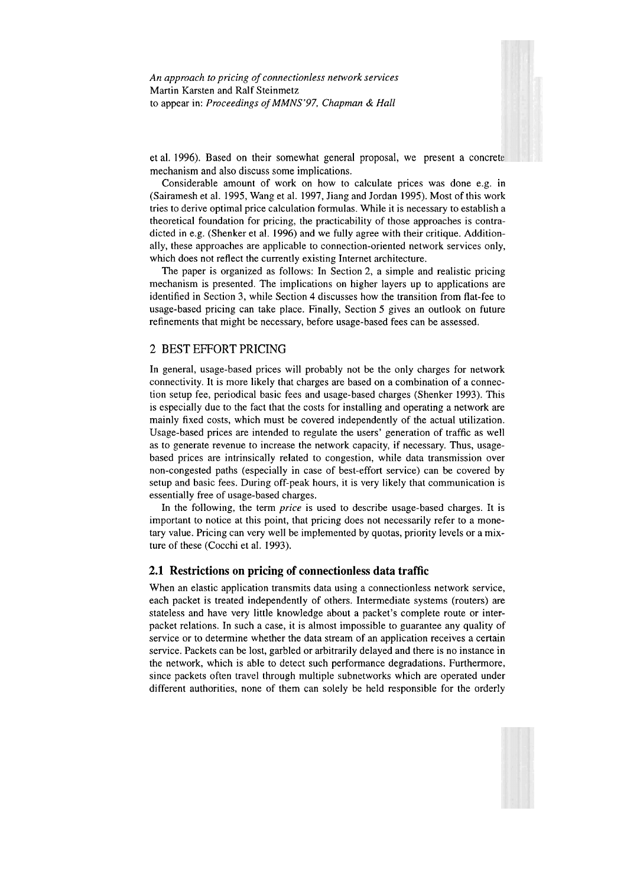et al. 1996). Based on their somewhat general proposal, we present a concrete mechanism and also discuss some implications.

Considerable amount of work on how to calculate prices was done e.g. in (Sairamesh et al. 1995, Wang et al. 1997, Jiang and Jordan 1995). Most of this work tries to derive optimal price calculation formulas. While it is necessary to establish a theoretical foundation for pricing, the practicability of those approaches is contradicted in e.g. (Shenker et al. 1996) and we fully agree with their critique. Additionally, these approaches are applicable to connection-oriented network services only, which does not reflect the currently existing Internet architecture.

The paper is organized as follows: In Section 2, a simple and realistic pricing mechanism is presented. The implications on higher layers up to applications are identified in Section 3, while Section 4 discusses how the transition from flat-fee to usage-based pricing can take place. Finally, Section 5 gives an outlook on future refinements that might be necessary, before usage-based fees can be assessed.

#### 2 BEST EFFORT PRICING

In general, usage-based prices will probably not be the only charges for network connectivity. It is more likely that charges are based on a combination of a connection setup fee, periodical basic fees and usage-based charges (Shenker 1993). This is especially due to the fact that the costs for installing and operating a network are mainly fixed costs, which must be covered independently of the actual utilization. Usage-based prices are intended to regulate the users' generation of traffic as well as to generate revenue to increase the network capacity, if necessary. Thus, usagebased prices are intrinsically related to congestion, while data transmission over non-congested paths (especially in case of best-effort service) can be covered by setup and basic fees. During off-peak hours, it is very likely that communication is essentially free of usage-based charges.

In the following, the term *price* is used to describe usage-based charges. It is important to notice at this point, that pricing does not necessarily refer to a monetary value. Pricing can very well be implemented by quotas, priority levels or a mixture of these (Cocchi et al. 1993).

#### **2.1 Restrictions on pricing of connectionless data traffic**

When an elastic application transmits data using a connectionless network service, each packet is treated independently of others. Intermediate systems (routers) are stateless and have very little knowledge about a packet's complete route or interpacket relations. In such a case, it is almost impossible to guarantee any quality of service or to determine whether the data stream of an application receives a certain service. Packets can be lost, garbled or arbitrarily delayed and there is no instance in the network, which is able to detect such performance degradations. Furthermore, since packets often travel through multiple subnetworks which are operated under different authorities, none of them can solely be held responsible for the orderly

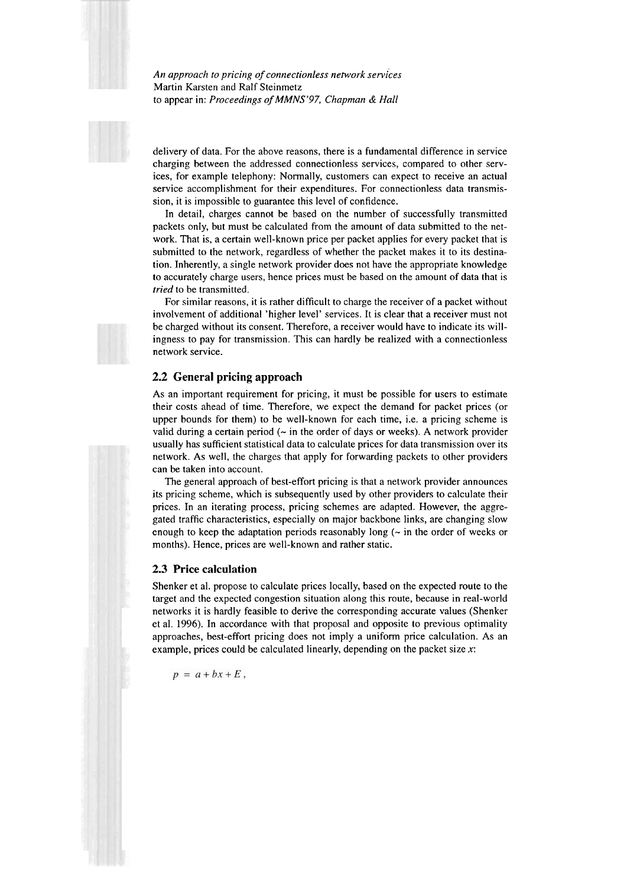

delivery of data. For the above reasons, there is a fundamental difference in service charging between the addressed connectionless services, compared to other services, for example telephony: Normally, customers can expect to receive an actual service accomplishment for their expenditures. For connectionless data transmission, it is impossible to guarantee this level of confidence.

In detail, charges cannot be based on the number of successfully transmitted packets only, but must be calculated from the amount of data submitted to the network. That is, a certain well-known price per packet applies for every packet that is submitted to the network, regardless of whether the packet makes it to its destination. Inherently, a single network provider does not have the appropriate knowledge to accurately charge users, hence prices must be based on the amount of data that is *tried* to be transmitted.

For similar reasons, it is rather difficult to charge the receiver of a packet without involvement of additional 'higher level' services. It is clear that a receiver must not be charged without its consent. Therefore, a receiver would have to indicate its willingness to pay for transmission. This can hardly be realized with a connectionless network service.

#### **2.2 General pricing approach**

As an important requirement for pricing, it must be possible for users to estimate their costs ahead of time. Therefore, we expect the demand for packet prices (or upper bounds for them) to be well-known for each time, i.e. a pricing scheme is valid during a certain period ( $\sim$  in the order of days or weeks). A network provider usually has sufficient statistical data to calculate prices for data transmission over its network. As well, the charges that apply for forwarding packets to other providers can be taken into account.

The general approach of best-effort pricing is that a network provider announces its pricing scheme, which is subsequently used by other providers to calculate their prices. In an iterating process, pricing schemes are adapted. However, the aggregated traffic characteristics, especially on major backbone links, are changing slow enough to keep the adaptation periods reasonably long  $(\sim$  in the order of weeks or months). Hence, prices are well-known and rather static.

#### **2.3 Price calculation**

Shenker et al. propose to calculate prices locally, based on the expected route to the target and the expected congestion situation along this route, because in real-world networks it is hardly feasible to denve the corresponding accurate values (Shenker et al. 1996). In accordance with that proposal and opposite to previous optimality approaches, best-effort pricing does not imply a uniform price calculation. As an example, prices could be calculated linearly, depending on the packet size x:

$$
p = a + bx + E,
$$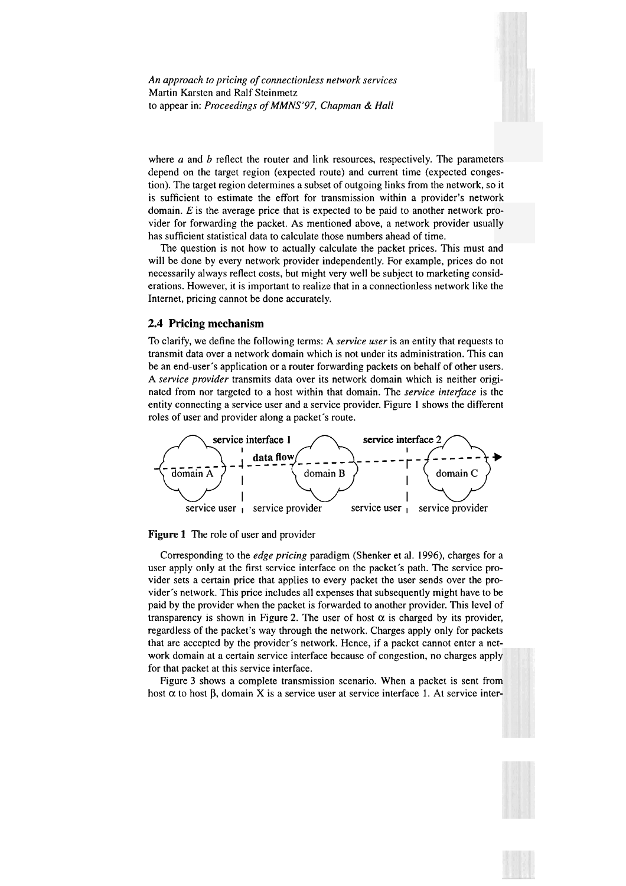where  $a$  and  $b$  reflect the router and link resources, respectively. The parameters depend on the target region (expected route) and current time (expected congestion). The target region determines a subset of outgoing links from the network, so it is sufficient to estimate the effort for transmission within a provider's network domain.  $E$  is the average price that is expected to be paid to another network provider for forwarding the packet. As mentioned above, a network provider usually has sufficient statistical data to calculate those numbers ahead of time.

The question is not how to actually calculate the packet prices. This must and will be done by every network provider independently. For example, prices do not necessarily always reflect costs, but might very well be subject to marketing considerations. However, it is important to realize that in a connectionless network like the Internet, pricing cannot be done accurately.

### **2.4 Pricing mechanism**

To clarify, we define the following terms: A *service user* is an entity that requests to transmit data over a network domain which is not under its administration. This can be an end-user's application or a router forwarding packets on behalf of other users. A *service provider* transmits data over its network domain which is neither originated from nor targeted to a host within that domain. The *service interface* is the entity connecting a service user and a service provider. Figure 1 shows the different To clarify, we define the following terms: A *service user* is an entity that<br>transmit data over a network domain which is not under its administrate<br>be an end-user's application or a router forwarding packets on behalf<br>A



#### **Figure 1** The role of user and provider

Corresponding to the *edge pricing* paradigm (Shenker et al. 1996), charges for a user apply only at the first service interface on the packet's path. The service provider sets a certain price that applies to every packet the user sends over the provider's network. This price includes all expenses that subsequently might have to be paid by the provider when the packet is forwarded to another provider. This level of transparency is shown in Figure 2. The user of host  $\alpha$  is charged by its provider, regardless of the packet's way through the network. Charges apply only for packets that are accepted by the provider's network. Hence, if a packet cannot enter a network domain at a certain service interface because of congestion, no charges apply for that packet at this service interface.

Figure **3** shows a complete transmission scenario. When a packet is sent from host  $\alpha$  to host  $\beta$ , domain X is a service user at service interface 1. At service inter-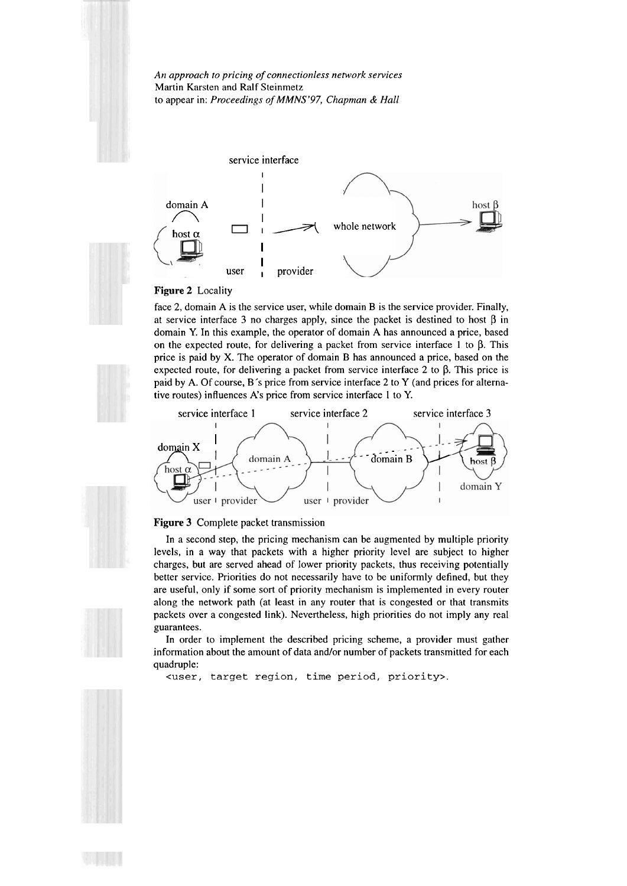

#### **Figure 2** Locality

face 2, domain A is the service user, while domain  $B$  is the service provider. Finally, at service interface **3** no charges apply, since the packet is destined to host ß in domain Y. In this example, the operator of domain **A** has announced a price, based on the expected route, for delivering a packet from service interface 1 to  $\beta$ . This price is paid by X. The operator of domain B has announced a price, based on the expected route, for delivering a packet from service interface 2 to  $\beta$ . This price is paid by A. Of Course, B's price from service interface 2 to Y (and prices for alternative routes) influences A's price from service interface 1 to Y.



#### **Figure 3** Complete packet transmission

In a second step, the pricing mechanism can be augmented by multiple priority levels, in a way that packets with a higher priority level are subject to higher charges, but are served ahead of lower priority packets, thus receiving potentially better service. Priorities do not necessarily have to be uniformly defined, but they are useful, only if some sort of priority mechanism is implemented in every router along the network path (at least in any router that is congested or that transmits packets over a congested link). Nevertheless, high priorities do not imply any real guarantees.

In order to implement the described pricing scheme, a provider must gather information about the amount of data and/or number of packets transmitted for each quadruple:

**<User, target region, time period, priority>.** 

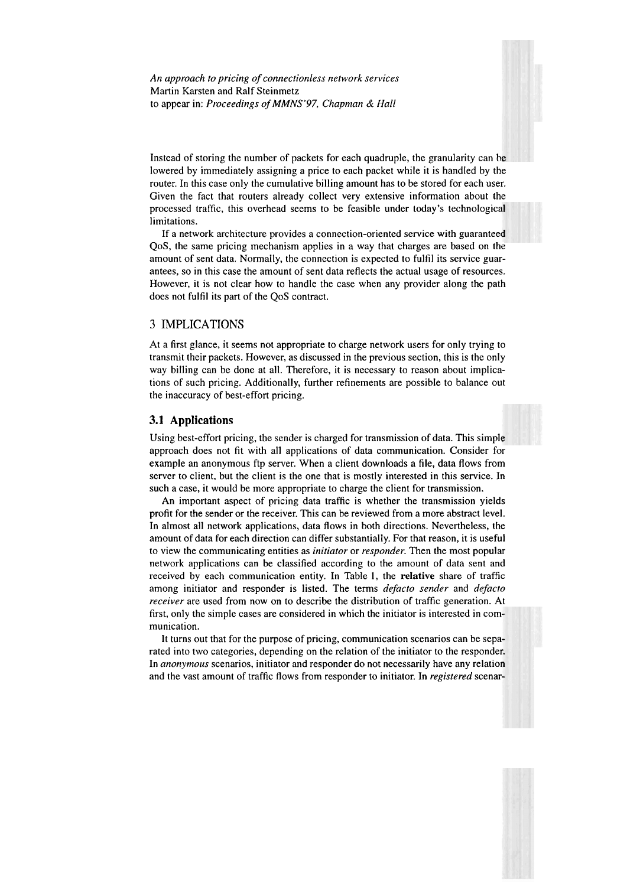Instead of storing the number of packets for each quadruple, the granularity can be lowered by immediately assigning a price to each packet while it is handled by the router. In this case only the cumulative billing amount has to be stored for each user. Given the fact that routers already collect very extensive information about the processed traffic, this overhead seems to be feasible under today's technologica limitations.

If a network architecture provides a connection-oriented service with guaranteed QoS, the Same pricing mechanism applies in a way that charges are based on the amount of sent data. Normally, the connection is expected to fulfil its sewice guarantees, so in this case the amount of sent data reflects the actual usage of resources. However, it is not clear how to handle the case when any provider along the path does not fulfil its part of the QoS contract.

## **3 IMPLICATIONS**

At a first glance, it seems not appropriate to charge network users for only trying to transmit their packets. However, as discussed in the previous section, this is the only way billing can be done at all. Therefore, it is necessary to reason about implications of such pricing. Additionally, further refinements are possible to balance out the inaccuracy of best-effort pricing.

## **3.1 Applications**

Using best-effort pricing, the sender is charged for transmission of data. This simplc approach does not fit with all applications of data communication. Consider for example an anonymous ftp server. When a client downloads a file, data flows from server to client, but the client is the one that is mostly interested in this service. In such a case, it would be more appropriate to charge the client for transmission.

An important aspect of pricing data traffic is whether the transmission yields profit for the sender or the receiver. This can be reviewed from a more abstract level. In almost all network applications, data flows in both directions. Nevertheless, the amount of data for each direction can differ substantially. For that reason, it is useful to view the communicating entities as *initiator* or *responder.* Then the most popular network applications can be classified according to the amount of data sent and received by each communication entity. In Table 1, the **relative** share of traffic among initiator and responder is listed. The terms *defacto sender* and *defacto receiver* are used from now on to describe the distribution of traffic generation. At first, only the simple cases are considered in which the initiator is interested in com munication.

It turns out that for the purpose of pricing, comrnunication scenarios can be sepa rated into two categories, depending on the relation of the initiator to the responder In *anonymous* scenarios, initiator and responder do not necessarily have any relation and the vast amount of traffic flows from responder to initiator. In *registered* scenar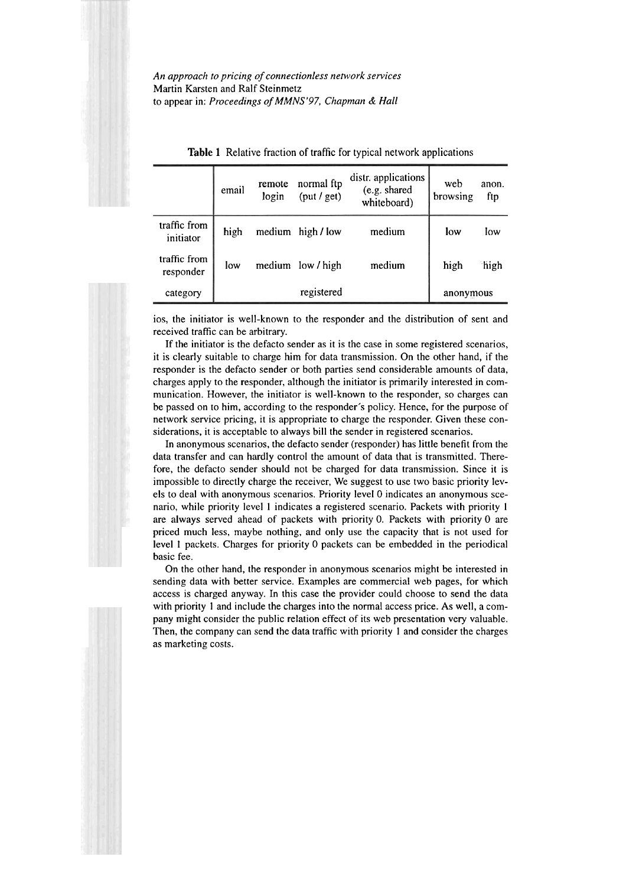|                           | email      | remote<br>login | normal ftp<br>$(\text{put} / \text{get})$ | distr. applications<br>(e.g. shared<br>whiteboard) | web<br>browsing | anon.<br>ftp |
|---------------------------|------------|-----------------|-------------------------------------------|----------------------------------------------------|-----------------|--------------|
| traffic from<br>initiator | high       | medium          | high / low                                | medium                                             | low             | low          |
| traffic from<br>responder | low        | medium          | low / high                                | medium                                             | high            | high         |
| category                  | registered |                 |                                           | anonymous                                          |                 |              |

**Table 1** Relative fraction of traffic for typical network applications

ios, the initiator is well-known to the responder and the distribution of sent and received traffic can be arbitrary.

If the initiator is the defacto sender as it is the case in some registered scenarios, it is clearly suitable to charge him for data transmission. On the other hand, if the responder is the defacto sender or both parties send considerable amounts of data, charges apply to the responder, although the initiator is primarily interested in communication. However, the initiator is well-known to the responder, so charges can be passed on to him, according to the responder's policy. Hence, for the purpose of network service pricing, it is appropriate to charge the responder. Given these considerations, it is acceptable to always bill the sender in registered scenarios.

In anonymous scenarios, the defacto sender (responder) has little benefit from the data transfer and can hardly control the amount of data that is transmitted. Therefore, the defacto sender should not be charged for data transmission. Since it is impossible to directly charge the receiver, We suggest to use two basic priority levels to deal with anonymous scenarios. Priority level 0 indicates an anonymous scenario, while priority level 1 indicates a registered scenario. Packets with priority 1 are always served ahead of packets with priority 0. Packets with priority 0 are priced much less, maybe nothing, and only use the capacity that is not used for level **1** packets. Charges for priority 0 packets can be embedded in the periodical basic fee.

On the other hand, the responder in anonymous scenarios might be interested in sending data with better service. Examples are commercial web pages, for which access is charged anyway. In this case the provider could choose to send the data with priority 1 and include the charges into the normal access price. As well, a company might consider the public relation effect of its web presentation very valuable. Then, the company can send the data traffic with priority 1 and consider the charges as marketing costs.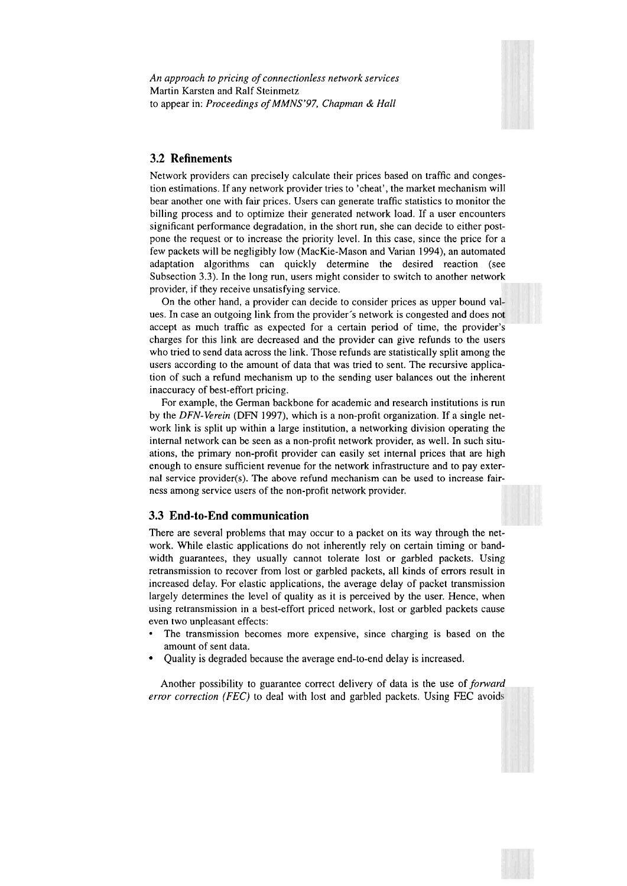## **3.2 Refinements**

Network providers can precisely calculate their prices based on traffic and congestion estimations. If any network provider tries to 'cheat', the market mechanism will bear another one with fair prices. Users can generate traffic statistics to monitor the billing process and to optimize their generated network load. If a user encounters significant performance degradation, in the short run, she can decide to either postpone the request or to increase the priority level. In this case, since the price for a few packets will be negligibly low (MacKie-Mason and Varian 1994), an automated adaptation algorithms can quickly determine the desired reaction (see Subsection 3.3). In the long run, users might consider to switch to another network provider, if they receive unsatisfying service.

On the other hand, a provider can decide to consider prices as upper bound val ues. In case an outgoing link from the provider's network is congested and does no accept as much traffic as expected for a certain period of time, the provider's charges for this link are decreased and the provider can give refunds to the users who tried to send data across the link. Those refunds are statistically split among the users according to the amount of data that was tried to sent. The recursive application of such a refund mechanism up to the sending User balances out the inherent inaccuracy of best-effort pricing.

For example, the German backbone for academic and research institutions is run by the *DFN-Verein* (DFN 1997), which is a non-profit organization. If a single network link is split up within a large institution, a networking division operating the internal network can be Seen as a non-profit network provider, as well. In such situations, the primary non-profit provider can easily set internal prices that are high enough to ensure sufficient revenue for the network infrastructure and to pay external service provider(s). The above refund mechanism can be used to increase fairness among service users of the non-profit network provider.

#### **3.3 End-to-End communication**

There are several problems that may occur to a packet on its way through the network. While elastic applications do not inherently rely on certain timing or bandwidth guarantees, they usually cannot tolerate lost or garbled packets. Using retransmission to recover from lost or garbled packets, all kinds of errors result in increased delay. For elastic applications, the average delay of packet transmission largely determines the level of quality as it is perceived by the user. Hence, when using retransmission in a best-effort priced network, lost or garbled packets cause even two unpieasant effects:

- The transmission becomes more expensive, since charging is based on the amount of sent data.
- Quality is degraded because the average end-to-end delay is increased.

Another possibility to guarantee correct delivery of data is the use of *fonvard error correction (FEC)* to deal with lost and garbled packets. Using FEC avoids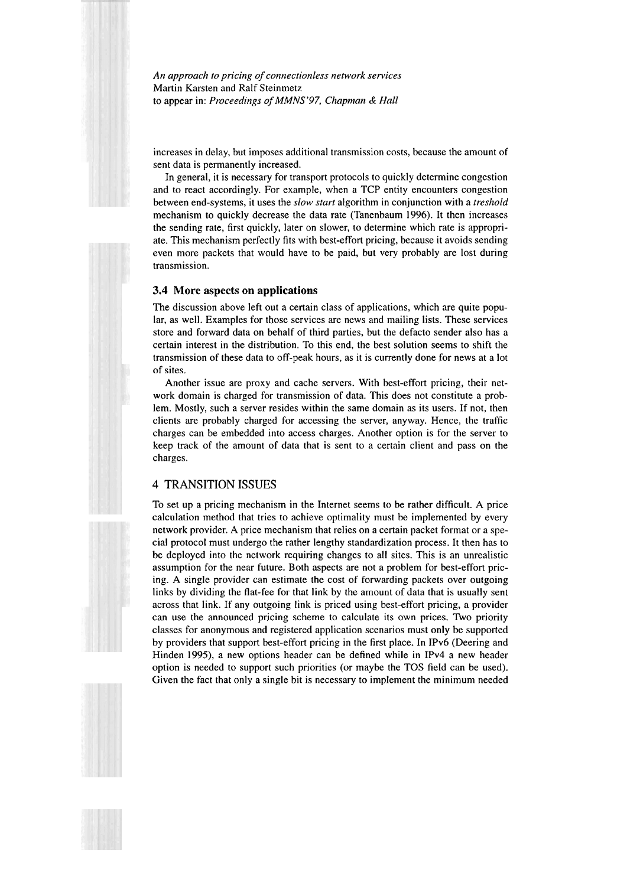increases in delay, but imposes additional transmission costs, because the amount of sent data is permanently increased.

In general, it is necessary for transport protocols to quickly determine congestion and to react accordingly. For example, when a TCP entity encounters congestion between end-systems, it uses the *slow start* algorithm in conjunction with a *treshold*  mechanism to quickly decrease the data rate (Tanenbaum 1996). It then increases the sending rate, first quickly, later on slower, to determine which rate is appropriate. This mechanism perfectly fits with best-effort pricing, because it avoids sending even more packets that would have to be paid, but very probably are lost during transmission.

#### **3.4 More aspects on applications**

The discussion above left out a certain class of applications, which are quite popular, as well. Examples for those services are news and mailing lists. These services store and forward data on behalf of third parties, but the defacto sender also has a certain interest in the distribution. To this end, the best solution seems to shift the transmission of these data to off-peak hours, as it is currently done for news at a lot of sites.

Another issue are proxy and cache servers. With best-effort pricing, their network domain is charged for transmission of data. This does not constitute a problem. Mostly, such a server resides within the same domain as its users. If not, then clients are probably charged for accessing the server, anyway. Hence, the traffic charges can be embedded into access charges. Another option is for the server to keep track of the amount of data that is sent to a certain client and pass on the charges.

#### 4 TRANSITION ISSUES

To Set up a pricing mechanism in the Internet seems to be rather difficult. A price calculation method that tries to achieve optimality must be implemented by every network provider. A price mechanism that relies on a certain packet format or a special protocol must undergo the rather lengthy standardization process. It then has to be deployed into the network requiring changes to all sites. This is an unrealistic assumption for the near future. Both aspects are not a problem for best-effort pricing. A single provider can estimate the cost of forwarding packets over outgoing links by dividing the flat-fee for that link by the amount of data that is usually sent across that link. If any outgoing link is priced using best-effort pricing, a provider can use the announced pricing scheme to calculate its own prices. Two priority classes for anonymous and registered application scenarios must only be supported by providers that support best-effort pricing in the first place. In IPv6 (Deering and Hinden 1995), a new options header can be defined while in IPv4 a new header option is needed to support such priorities (or maybe the TOS field can be used). Given the fact that only a single bit is necessary to implement the minimum needed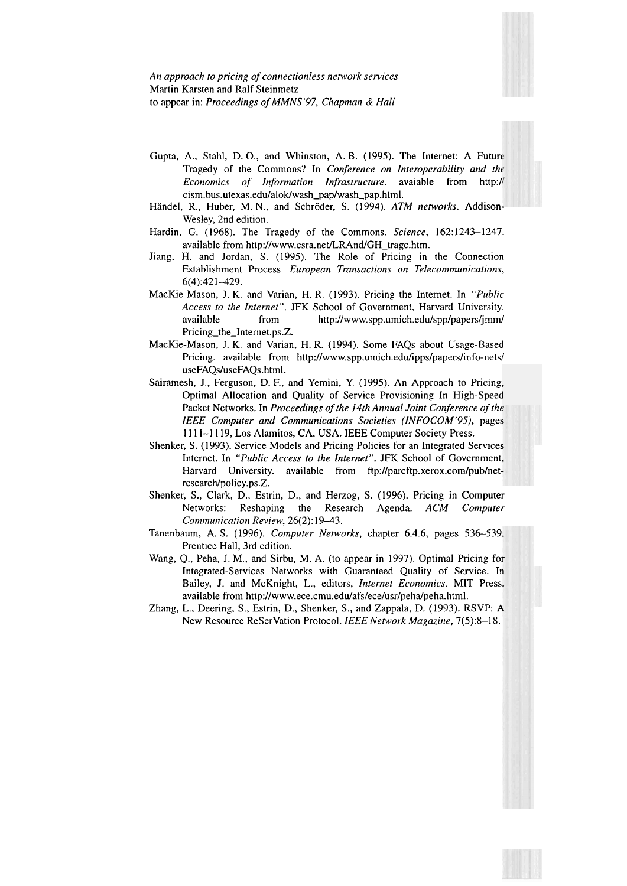- Gupta, A., Stahl, D. O., and Whinston, A. B. (1995). The Internet: A Futurc Tragedy of the Commons? In *Conference on Interoperability und tht Economics of Information Infrastructure.* avaiable from http:/, **cism.bus.utexas.edu/alok/wash~pap/wash~pap.html.**
- Händel, R., Huber, M. N., and Schröder, S. (1994). *ATM networks*. Addison-Wesley, 2nd edition.
- Hardin, G. (1968). The Tragedy of the Commons. *Science,* 162: 1243-1247. available from **http://www.csra.net/LRAnd/GH-tragc.htm.**
- Jiang, H. and Jordan, S. (1995). The Role of Pricing in the Connection Establishment Process. *European Transactions on Telecommunications,*  6(4):421-429.
- MacKie-Mason, J. K. and Varian, H. R. (1993). Pricing the Internet. In *"Public Access to the Internet".* JFK School of Government, Harvard University. available from http://www.spp.umich.edu/spp/papers/jmm/ **Pricing-the-1nternet.ps.Z.**
- MacKie-Mason, J. K. and Varian, H. R. (1994). Some FAQs about Usage-Based Pricing. available from **http://www.spp.umich.edu/ipps/papers/info-netsl**  useFAQs/useFAQs.html.
- Sairamesh, J., Ferguson, D. F., and Yemini, Y. (1995). An Approach to Pricing, Optimal Allocation and Quality of Service Provisioning In High-Speec Packet Networks. In *Proceedings of the 14th Annual Joint Conference of tht IEEE Computer and Communications Societies (INFOCOM'95), pages* 11 11-1 119, Los Alamitos, CA, USA. IEEE Computer Society Press.
- Shenker, S. (1993). Service Models and Pricing Policies for an Integrated Service: Internet. In *"Public Access to the Internet"*. JFK School of Government, Harvard University. available from **ftp://parcftp.xerox.com/pub/net~**  research/policy.ps.Z.
- Shenker, S., Clark, D., Estrin, D., and Herzog, S. (1996). Pricing in Computer Networks: Reshaping the Research Agenda. *ACM Computer Communication Review,* 26(2): 19-43.
- Tanenbaum, A. S. (1996). *Computer Networks,* chapter 6.4.6, pages 536-539 Prentice Hall, 3rd edition.
- Wang, O., Peha, J. M., and Sirbu, M. A. (to appear in 1997). Optimal Pricing for Integrated-Services Networks with Guaranteed Quality of Service. In Bailey, J. and McKnight, L., editors, *Internet Economics.* MIT Press available from http://www.ece.cmu.edu/afs/ece/usr/peha/peha.html.
- Zhang, L., Deering, S., Estrin, D., Shenker, S., and Zappala, D. (1993). RSVP: A New Resource Reservation Protocol. *IEEE Network Magazine,* 7(5):8-18.